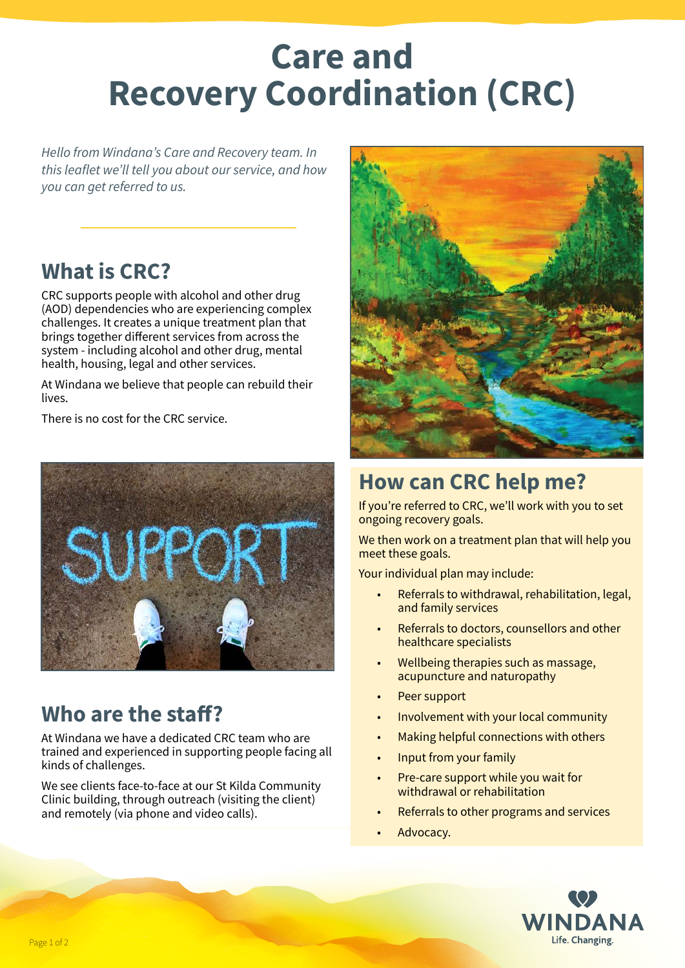# **Care and Recovery Coordination (CRC)**

*Hello from Windana's Care and Recovery team. In this leaflet we'll tell you about our service, and how you can get referred to us.*

### **What is CRC?**

CRC supports people with alcohol and other drug (AOD) dependencies who are experiencing complex challenges. It creates a unique treatment plan that brings together different services from across the system - including alcohol and other drug, mental health, housing, legal and other services.

At Windana we believe that people can rebuild their lives.

There is no cost for the CRC service.



## **Who are the staff?**

At Windana we have a dedicated CRC team who are trained and experienced in supporting people facing all kinds of challenges.

We see clients face-to-face at our St Kilda Community Clinic building, through outreach (visiting the client) and remotely (via phone and video calls).



# **How can CRC help me?**

If you're referred to CRC, we'll work with you to set ongoing recovery goals.

We then work on a treatment plan that will help you meet these goals.

Your individual plan may include:

- Referrals to withdrawal, rehabilitation, legal, and family services
- Referrals to doctors, counsellors and other healthcare specialists
- Wellbeing therapies such as massage, acupuncture and naturopathy
- Peer support
- Involvement with your local community
- Making helpful connections with others
- Input from your family
- Pre-care support while you wait for withdrawal or rehabilitation
- Referrals to other programs and services
- Advocacy.